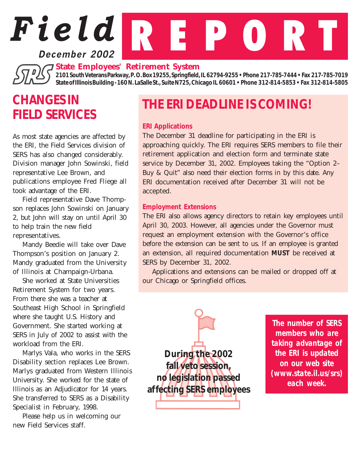## **December 2002**

#### *State Employees' Retirement System*

*2101 South Veterans Parkway, P. O. Box 19255, Springfield, IL 62794-9255 • Phone 217-785-7444 • Fax 217-785-7019 State of Illinois Building - 160 N. LaSalle St., Suite N725, Chicago IL 60601 • Phone 312-814-5853 • Fax 312-814-5805*

# *CHANGES IN FIELD SERVICES*

As most state agencies are affected by the ERI, the Field Services division of SERS has also changed considerably. Division manager John Sowinski, field representative Lee Brown, and publications employee Fred Fliege all took advantage of the ERI.

Field representative Dave Thompson replaces John Sowinski on January 2, but John will stay on until April 30 to help train the new field representatives.

Mandy Beedie will take over Dave Thompson's position on January 2. Mandy graduated from the University of Illinois at Champaign-Urbana.

She worked at State Universities Retirement System for two years. From there she was a teacher at Southeast High School in Springfield where she taught U.S. History and Government. She started working at SERS in July of 2002 to assist with the workload from the ERI.

Marlys Vala, who works in the SERS Disability section replaces Lee Brown. Marlys graduated from Western Illinois University. She worked for the state of Illinois as an Adjudicator for 14 years. She transferred to SERS as a Disability Specialist in February, 1998.

Please help us in welcoming our new Field Services staff.

# *THE ERI DEADLINE IS COMING!*

#### *ERI Applications*

*Field* R E P O R T

The December 31 deadline for participating in the ERI is approaching quickly. The ERI requires SERS members to file their retirement application and election form and terminate state service by December 31, 2002. Employees taking the "Option 2– Buy & Quit" also need their election forms in by this date. Any ERI documentation received after December 31 will not be accepted.

#### *Employment Extensions*

The ERI also allows agency directors to retain key employees until April 30, 2003. However, all agencies under the Governor must request an employment extension with the Governor's office before the extension can be sent to us. If an employee is granted an extension, all required documentation *MUST* be received at SERS by December 31, 2002.

Applications and extensions can be mailed or dropped off at our Chicago or Springfield offices.



*The number of SERS members who are taking advantage of the ERI is updated on our web site (www.state.il.us/srs) each week.*